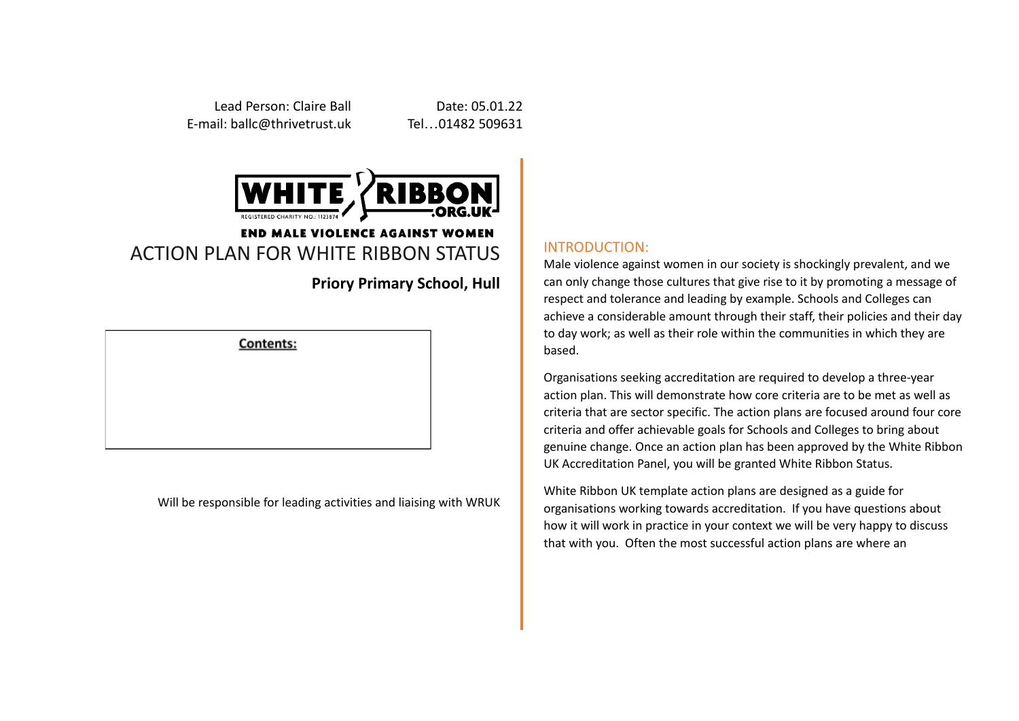Lead Person: Claire Ball **Date: 05.01.22** E-mail: ballc@thrivetrust.uk Tel…01482 509631



## **END MALE VIOLENCE AGAINST WOMEN** ACTION PLAN FOR WHITE RIBBON STATUS

**Priory Primary School, Hull**

**Contents:** 

Will be responsible for leading activities and liaising with WRUK

## INTRODUCTION:

Male violence against women in our society is shockingly prevalent, and we can only change those cultures that give rise to it by promoting a message of respect and tolerance and leading by example. Schools and Colleges can achieve a considerable amount through their staff, their policies and their day to day work; as well as their role within the communities in which they are based.

Organisations seeking accreditation are required to develop a three-year action plan. This will demonstrate how core criteria are to be met as well as criteria that are sector specific. The action plans are focused around four core criteria and offer achievable goals for Schools and Colleges to bring about genuine change. Once an action plan has been approved by the White Ribbon UK Accreditation Panel, you will be granted White Ribbon Status.

White Ribbon UK template action plans are designed as a guide for organisations working towards accreditation. If you have questions about how it will work in practice in your context we will be very happy to discuss that with you. Often the most successful action plans are where an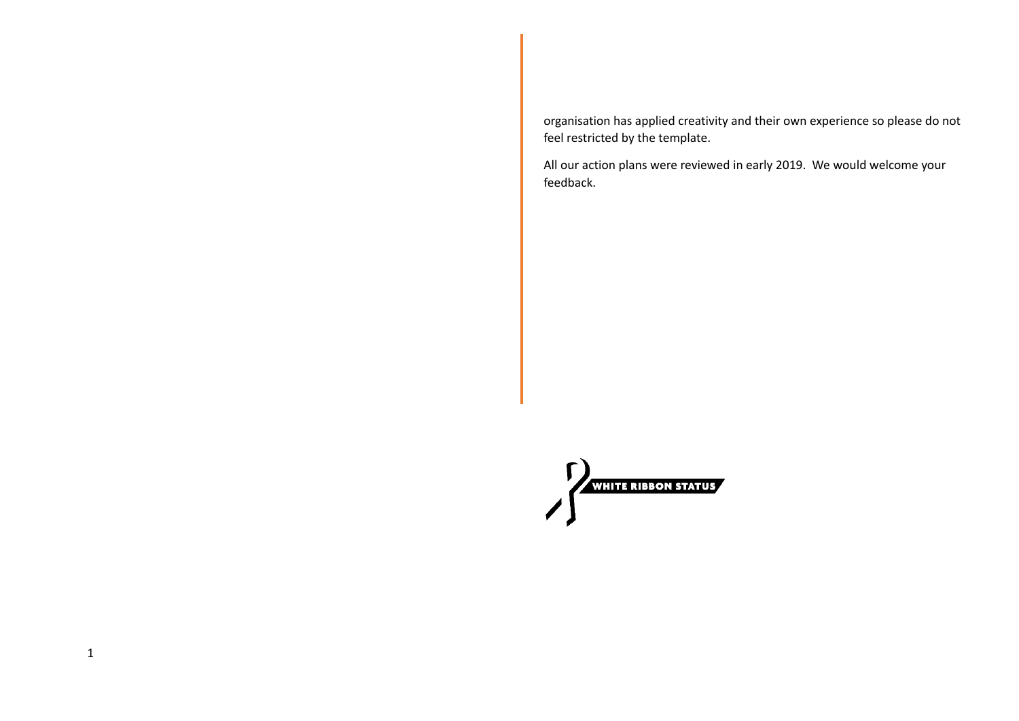organisation has applied creativity and their own experience so please do not feel restricted by the template.

All our action plans were reviewed in early 2019. We would welcome your feedback.

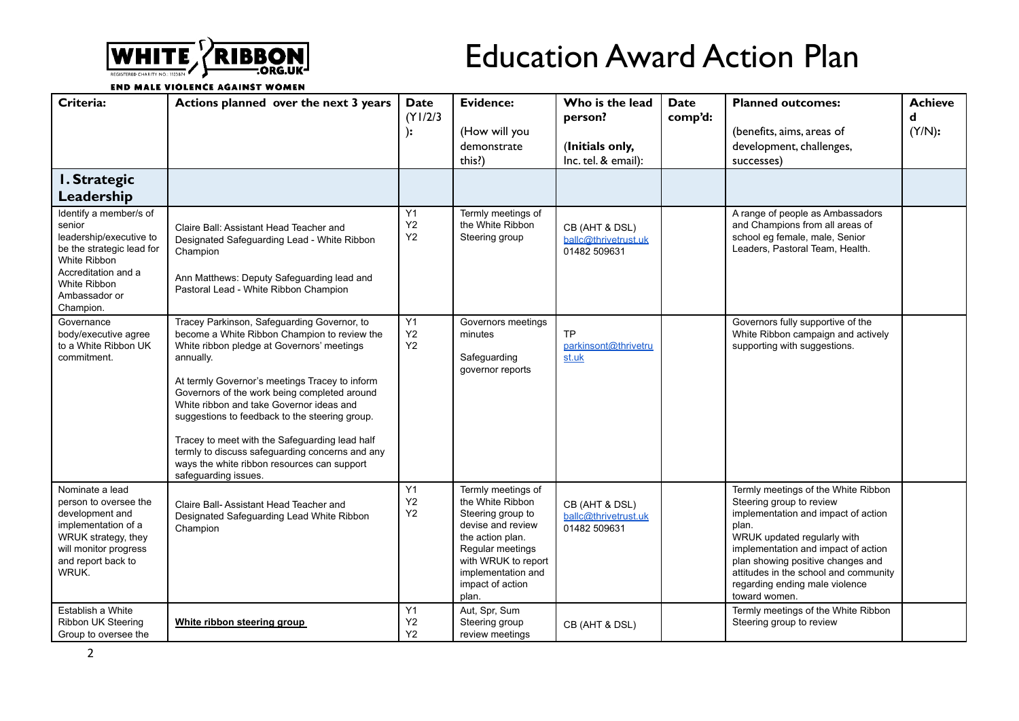

## Education Award Action Plan

**END MALE VIOLENCE AGAINST WOMEN** 

| Criteria:                                                                                                                                                                     | Actions planned over the next 3 years                                                                                                                                                                                                                                                                                                                                                                                                                                                                                              | <b>Date</b><br>(Y1/2/3)<br>):    | <b>Evidence:</b><br>(How will you<br>demonstrate<br>this?)                                                                                                                                         | Who is the lead<br>person?<br>(Initials only,<br>Inc. tel. & email): | <b>Date</b><br>comp'd: | <b>Planned outcomes:</b><br>(benefits, aims, areas of<br>development, challenges,<br>successes)                                                                                                                                                                                                                        | <b>Achieve</b><br>d<br>(Y/N): |
|-------------------------------------------------------------------------------------------------------------------------------------------------------------------------------|------------------------------------------------------------------------------------------------------------------------------------------------------------------------------------------------------------------------------------------------------------------------------------------------------------------------------------------------------------------------------------------------------------------------------------------------------------------------------------------------------------------------------------|----------------------------------|----------------------------------------------------------------------------------------------------------------------------------------------------------------------------------------------------|----------------------------------------------------------------------|------------------------|------------------------------------------------------------------------------------------------------------------------------------------------------------------------------------------------------------------------------------------------------------------------------------------------------------------------|-------------------------------|
| I. Strategic<br>Leadership                                                                                                                                                    |                                                                                                                                                                                                                                                                                                                                                                                                                                                                                                                                    |                                  |                                                                                                                                                                                                    |                                                                      |                        |                                                                                                                                                                                                                                                                                                                        |                               |
| Identify a member/s of<br>senior<br>leadership/executive to<br>be the strategic lead for<br>White Ribbon<br>Accreditation and a<br>White Ribbon<br>Ambassador or<br>Champion. | Claire Ball: Assistant Head Teacher and<br>Designated Safeguarding Lead - White Ribbon<br>Champion<br>Ann Matthews: Deputy Safeguarding lead and<br>Pastoral Lead - White Ribbon Champion                                                                                                                                                                                                                                                                                                                                          | Y1<br>Y2<br>Y2                   | Termly meetings of<br>the White Ribbon<br>Steering group                                                                                                                                           | CB (AHT & DSL)<br>ballc@thrivetrust.uk<br>01482 509631               |                        | A range of people as Ambassadors<br>and Champions from all areas of<br>school eg female, male, Senior<br>Leaders, Pastoral Team, Health.                                                                                                                                                                               |                               |
| Governance<br>body/executive agree<br>to a White Ribbon UK<br>commitment.                                                                                                     | Tracey Parkinson, Safeguarding Governor, to<br>become a White Ribbon Champion to review the<br>White ribbon pledge at Governors' meetings<br>annually.<br>At termly Governor's meetings Tracey to inform<br>Governors of the work being completed around<br>White ribbon and take Governor ideas and<br>suggestions to feedback to the steering group.<br>Tracey to meet with the Safeguarding lead half<br>termly to discuss safeguarding concerns and any<br>ways the white ribbon resources can support<br>safeguarding issues. | Y1<br>$\mathsf{Y}2$<br><b>Y2</b> | Governors meetings<br>minutes<br>Safeguarding<br>governor reports                                                                                                                                  | <b>TP</b><br>parkinsont@thrivetru<br>st.uk                           |                        | Governors fully supportive of the<br>White Ribbon campaign and actively<br>supporting with suggestions.                                                                                                                                                                                                                |                               |
| Nominate a lead<br>person to oversee the<br>development and<br>implementation of a<br>WRUK strategy, they<br>will monitor progress<br>and report back to<br>WRUK.             | Claire Ball- Assistant Head Teacher and<br>Designated Safeguarding Lead White Ribbon<br>Champion                                                                                                                                                                                                                                                                                                                                                                                                                                   | Y1<br>Y2<br><b>Y2</b>            | Termly meetings of<br>the White Ribbon<br>Steering group to<br>devise and review<br>the action plan.<br>Regular meetings<br>with WRUK to report<br>implementation and<br>impact of action<br>plan. | CB (AHT & DSL)<br>ballc@thrivetrust.uk<br>01482 509631               |                        | Termly meetings of the White Ribbon<br>Steering group to review<br>implementation and impact of action<br>plan.<br>WRUK updated regularly with<br>implementation and impact of action<br>plan showing positive changes and<br>attitudes in the school and community<br>regarding ending male violence<br>toward women. |                               |
| Establish a White<br>Ribbon UK Steering<br>Group to oversee the                                                                                                               | White ribbon steering group                                                                                                                                                                                                                                                                                                                                                                                                                                                                                                        | Y1<br>Y2<br>Y2                   | Aut, Spr, Sum<br>Steering group<br>review meetings                                                                                                                                                 | CB (AHT & DSL)                                                       |                        | Termly meetings of the White Ribbon<br>Steering group to review                                                                                                                                                                                                                                                        |                               |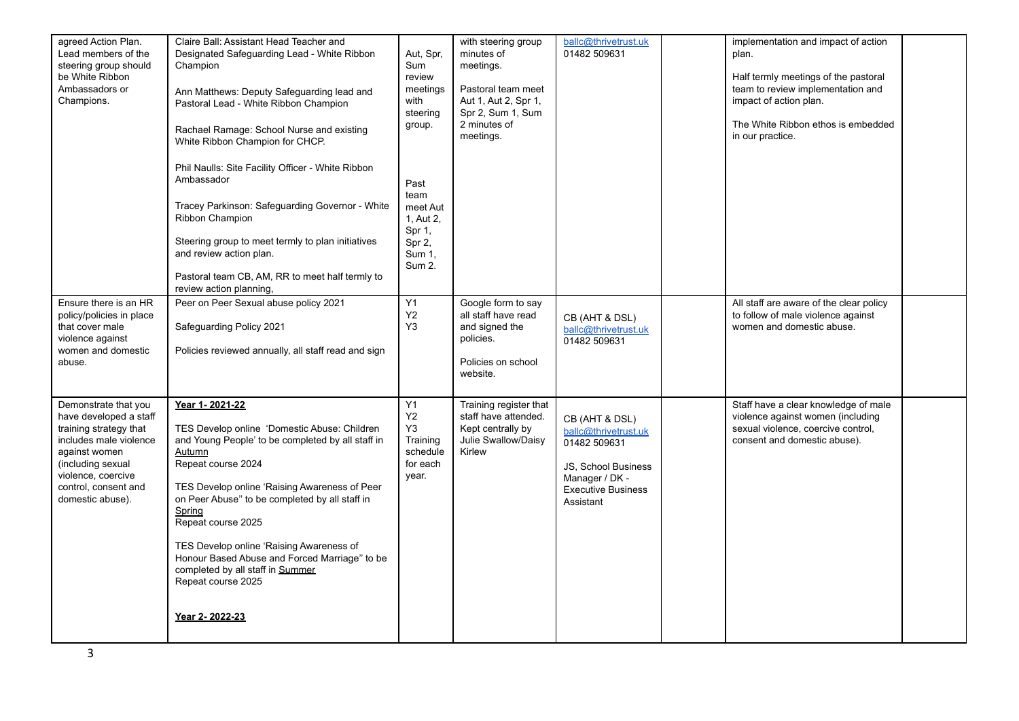| agreed Action Plan.<br>Lead members of the<br>steering group should<br>be White Ribbon<br>Ambassadors or<br>Champions.                                                                                     | Claire Ball: Assistant Head Teacher and<br>Designated Safeguarding Lead - White Ribbon<br>Champion<br>Ann Matthews: Deputy Safeguarding lead and<br>Pastoral Lead - White Ribbon Champion<br>Rachael Ramage: School Nurse and existing<br>White Ribbon Champion for CHCP.<br>Phil Naulls: Site Facility Officer - White Ribbon<br>Ambassador<br>Tracey Parkinson: Safeguarding Governor - White<br>Ribbon Champion<br>Steering group to meet termly to plan initiatives<br>and review action plan.<br>Pastoral team CB, AM, RR to meet half termly to | Aut, Spr,<br>Sum<br>review<br>meetings<br>with<br>steering<br>group.<br>Past<br>team<br>meet Aut<br>1, Aut 2,<br>Spr 1,<br>Spr 2,<br>Sum 1,<br>Sum 2. | with steering group<br>minutes of<br>meetings.<br>Pastoral team meet<br>Aut 1, Aut 2, Spr 1,<br>Spr 2, Sum 1, Sum<br>2 minutes of<br>meetings. | ballc@thrivetrust.uk<br>01482 509631                                                                                                      | implementation and impact of action<br>plan.<br>Half termly meetings of the pastoral<br>team to review implementation and<br>impact of action plan.<br>The White Ribbon ethos is embedded<br>in our practice. |  |
|------------------------------------------------------------------------------------------------------------------------------------------------------------------------------------------------------------|-------------------------------------------------------------------------------------------------------------------------------------------------------------------------------------------------------------------------------------------------------------------------------------------------------------------------------------------------------------------------------------------------------------------------------------------------------------------------------------------------------------------------------------------------------|-------------------------------------------------------------------------------------------------------------------------------------------------------|------------------------------------------------------------------------------------------------------------------------------------------------|-------------------------------------------------------------------------------------------------------------------------------------------|---------------------------------------------------------------------------------------------------------------------------------------------------------------------------------------------------------------|--|
| Ensure there is an HR<br>policy/policies in place<br>that cover male<br>violence against<br>women and domestic<br>abuse.                                                                                   | review action planning,<br>Peer on Peer Sexual abuse policy 2021<br>Safeguarding Policy 2021<br>Policies reviewed annually, all staff read and sign                                                                                                                                                                                                                                                                                                                                                                                                   | Y1<br>Y <sub>2</sub><br>Y3                                                                                                                            | Google form to say<br>all staff have read<br>and signed the<br>policies.<br>Policies on school<br>website.                                     | CB (AHT & DSL)<br>ballc@thrivetrust.uk<br>01482 509631                                                                                    | All staff are aware of the clear policy<br>to follow of male violence against<br>women and domestic abuse.                                                                                                    |  |
| Demonstrate that you<br>have developed a staff<br>training strategy that<br>includes male violence<br>against women<br>(including sexual<br>violence, coercive<br>control, consent and<br>domestic abuse). | Year 1-2021-22<br>TES Develop online 'Domestic Abuse: Children<br>and Young People' to be completed by all staff in<br>Autumn<br>Repeat course 2024<br>TES Develop online 'Raising Awareness of Peer<br>on Peer Abuse" to be completed by all staff in<br>Spring<br>Repeat course 2025<br>TES Develop online 'Raising Awareness of<br>Honour Based Abuse and Forced Marriage" to be<br>completed by all staff in Summer<br>Repeat course 2025<br>Year 2-2022-23                                                                                       | Y1<br>Y2<br>Y3<br>Training<br>schedule<br>for each<br>year.                                                                                           | Training register that<br>staff have attended.<br>Kept centrally by<br>Julie Swallow/Daisy<br>Kirlew                                           | CB (AHT & DSL)<br>ballc@thrivetrust.uk<br>01482 509631<br>JS, School Business<br>Manager / DK -<br><b>Executive Business</b><br>Assistant | Staff have a clear knowledge of male<br>violence against women (including<br>sexual violence, coercive control,<br>consent and domestic abuse).                                                               |  |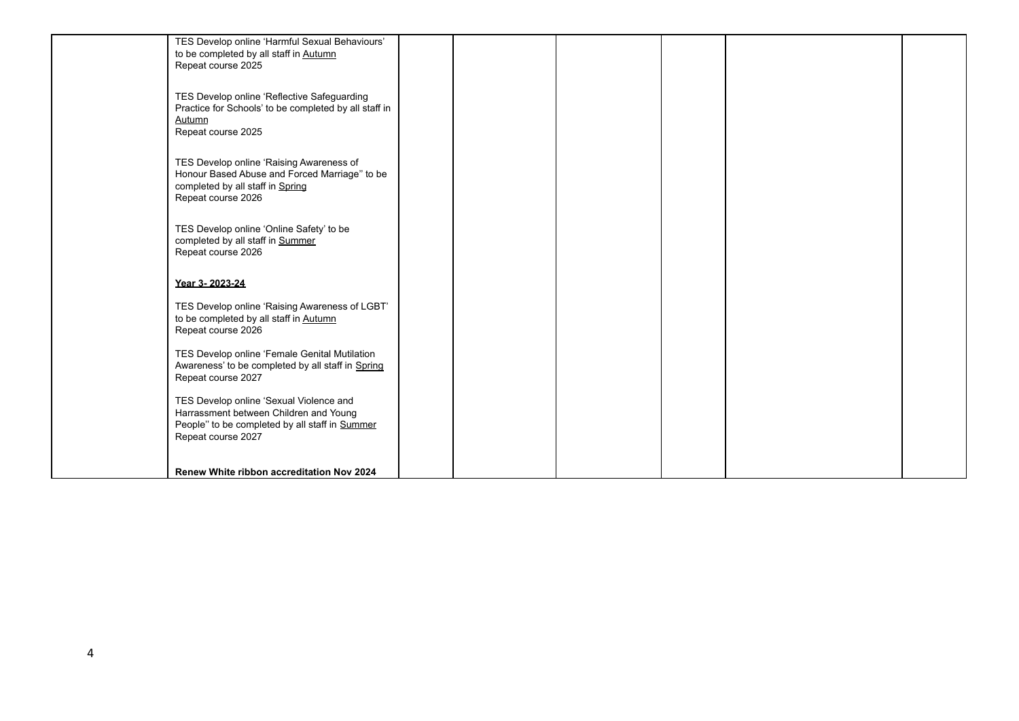| TES Develop online 'Harmful Sexual Behaviours'<br>to be completed by all staff in Autumn<br>Repeat course 2025                                            |  |  |  |
|-----------------------------------------------------------------------------------------------------------------------------------------------------------|--|--|--|
| TES Develop online 'Reflective Safeguarding<br>Practice for Schools' to be completed by all staff in<br>Autumn<br>Repeat course 2025                      |  |  |  |
| TES Develop online 'Raising Awareness of<br>Honour Based Abuse and Forced Marriage" to be<br>completed by all staff in Spring<br>Repeat course 2026       |  |  |  |
| TES Develop online 'Online Safety' to be<br>completed by all staff in Summer<br>Repeat course 2026                                                        |  |  |  |
| Year 3-2023-24                                                                                                                                            |  |  |  |
| TES Develop online 'Raising Awareness of LGBT'<br>to be completed by all staff in Autumn<br>Repeat course 2026                                            |  |  |  |
| TES Develop online 'Female Genital Mutilation<br>Awareness' to be completed by all staff in Spring<br>Repeat course 2027                                  |  |  |  |
| TES Develop online 'Sexual Violence and<br>Harrassment between Children and Young<br>People" to be completed by all staff in Summer<br>Repeat course 2027 |  |  |  |
| Renew White ribbon accreditation Nov 2024                                                                                                                 |  |  |  |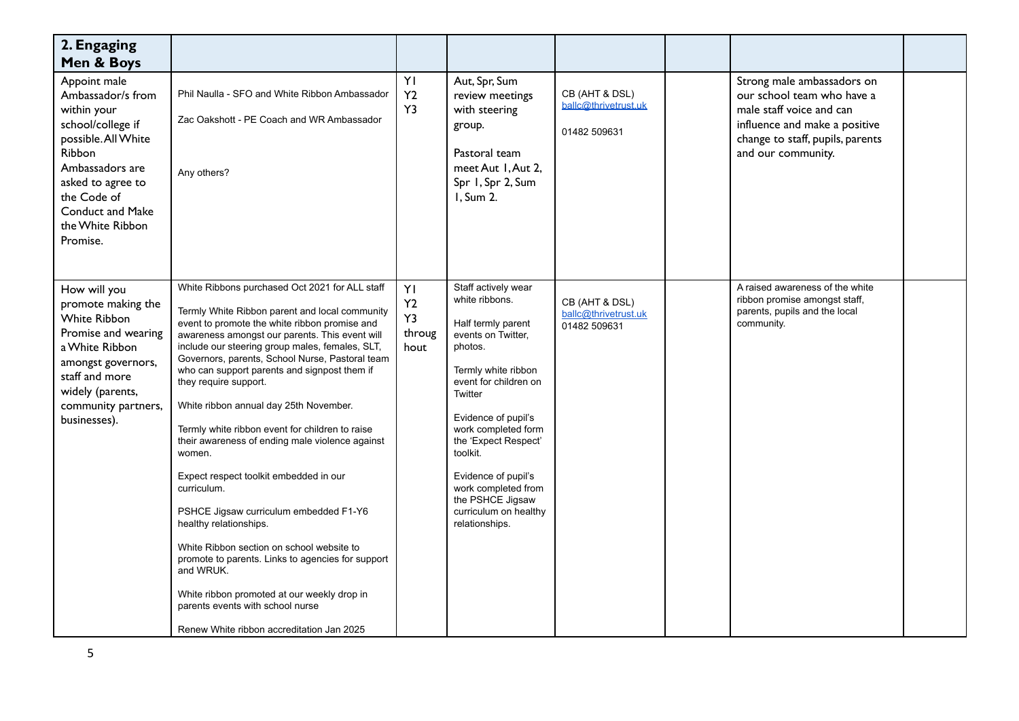| 2. Engaging<br>Men & Boys                                                                                                                                                                                                |                                                                                                                                                                                                                                                                                                                                                                                                                                                                                                                                                                                                                                                                                                                                                                                                                                                                                                                          |                                  |                                                                                                                                                                                                                                                                                                                                                        |                                                        |                                                                                                                                                                                 |  |
|--------------------------------------------------------------------------------------------------------------------------------------------------------------------------------------------------------------------------|--------------------------------------------------------------------------------------------------------------------------------------------------------------------------------------------------------------------------------------------------------------------------------------------------------------------------------------------------------------------------------------------------------------------------------------------------------------------------------------------------------------------------------------------------------------------------------------------------------------------------------------------------------------------------------------------------------------------------------------------------------------------------------------------------------------------------------------------------------------------------------------------------------------------------|----------------------------------|--------------------------------------------------------------------------------------------------------------------------------------------------------------------------------------------------------------------------------------------------------------------------------------------------------------------------------------------------------|--------------------------------------------------------|---------------------------------------------------------------------------------------------------------------------------------------------------------------------------------|--|
| Appoint male<br>Ambassador/s from<br>within your<br>school/college if<br>possible. All White<br>Ribbon<br>Ambassadors are<br>asked to agree to<br>the Code of<br><b>Conduct and Make</b><br>the White Ribbon<br>Promise. | Phil Naulla - SFO and White Ribbon Ambassador<br>Zac Oakshott - PE Coach and WR Ambassador<br>Any others?                                                                                                                                                                                                                                                                                                                                                                                                                                                                                                                                                                                                                                                                                                                                                                                                                | YI<br>Y <sub>2</sub><br>Y3       | Aut, Spr, Sum<br>review meetings<br>with steering<br>group.<br>Pastoral team<br>meet Aut 1, Aut 2,<br>Spr 1, Spr 2, Sum<br>I, Sum 2.                                                                                                                                                                                                                   | CB (AHT & DSL)<br>ballc@thrivetrust.uk<br>01482 509631 | Strong male ambassadors on<br>our school team who have a<br>male staff voice and can<br>influence and make a positive<br>change to staff, pupils, parents<br>and our community. |  |
| How will you<br>promote making the<br><b>White Ribbon</b><br>Promise and wearing<br>a White Ribbon<br>amongst governors,<br>staff and more<br>widely (parents,<br>community partners,<br>businesses).                    | White Ribbons purchased Oct 2021 for ALL staff<br>Termly White Ribbon parent and local community<br>event to promote the white ribbon promise and<br>awareness amongst our parents. This event will<br>include our steering group males, females, SLT,<br>Governors, parents, School Nurse, Pastoral team<br>who can support parents and signpost them if<br>they require support.<br>White ribbon annual day 25th November.<br>Termly white ribbon event for children to raise<br>their awareness of ending male violence against<br>women.<br>Expect respect toolkit embedded in our<br>curriculum.<br>PSHCE Jigsaw curriculum embedded F1-Y6<br>healthy relationships.<br>White Ribbon section on school website to<br>promote to parents. Links to agencies for support<br>and WRUK.<br>White ribbon promoted at our weekly drop in<br>parents events with school nurse<br>Renew White ribbon accreditation Jan 2025 | YI<br>Y2<br>Y3<br>throug<br>hout | Staff actively wear<br>white ribbons.<br>Half termly parent<br>events on Twitter,<br>photos.<br>Termly white ribbon<br>event for children on<br>Twitter<br>Evidence of pupil's<br>work completed form<br>the 'Expect Respect'<br>toolkit.<br>Evidence of pupil's<br>work completed from<br>the PSHCE Jigsaw<br>curriculum on healthy<br>relationships. | CB (AHT & DSL)<br>ballc@thrivetrust.uk<br>01482 509631 | A raised awareness of the white<br>ribbon promise amongst staff,<br>parents, pupils and the local<br>community.                                                                 |  |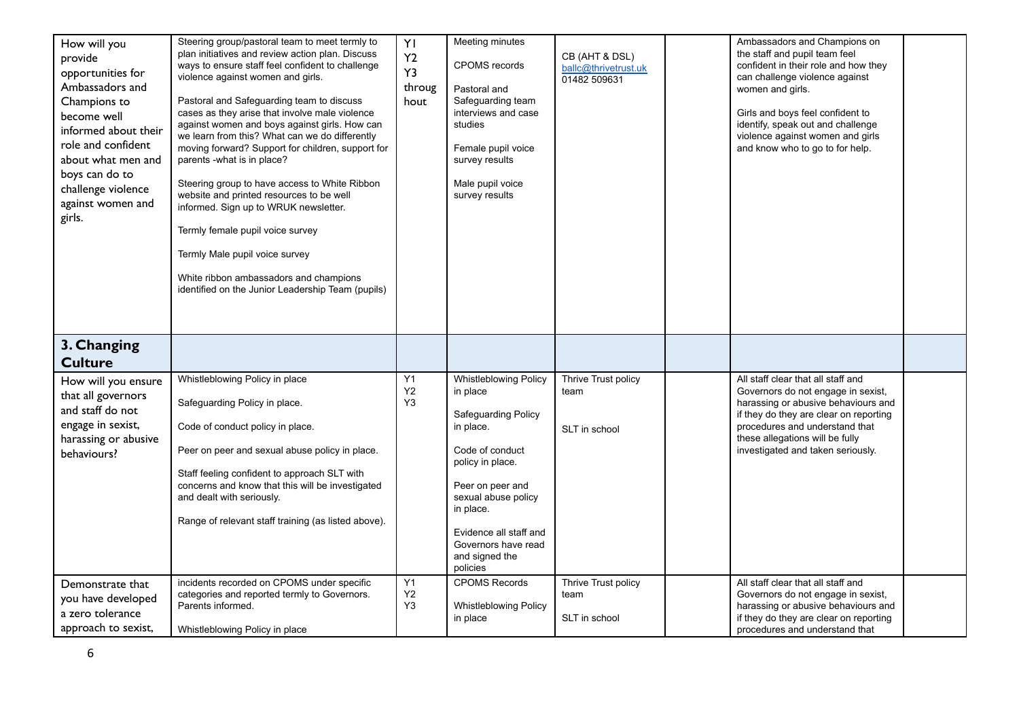| How will you<br>provide<br>opportunities for<br>Ambassadors and<br>Champions to<br>become well<br>informed about their<br>role and confident<br>about what men and<br>boys can do to<br>challenge violence<br>against women and<br>girls. | Steering group/pastoral team to meet termly to<br>plan initiatives and review action plan. Discuss<br>ways to ensure staff feel confident to challenge<br>violence against women and girls.<br>Pastoral and Safeguarding team to discuss<br>cases as they arise that involve male violence<br>against women and boys against girls. How can<br>we learn from this? What can we do differently<br>moving forward? Support for children, support for<br>parents -what is in place?<br>Steering group to have access to White Ribbon<br>website and printed resources to be well<br>informed. Sign up to WRUK newsletter.<br>Termly female pupil voice survey<br>Termly Male pupil voice survey<br>White ribbon ambassadors and champions<br>identified on the Junior Leadership Team (pupils) | YI<br>Y2<br>Y3<br>throug<br>hout | Meeting minutes<br><b>CPOMS</b> records<br>Pastoral and<br>Safeguarding team<br>interviews and case<br>studies<br>Female pupil voice<br>survey results<br>Male pupil voice<br>survey results                                                        | CB (AHT & DSL)<br>ballc@thrivetrust.uk<br>01482 509631 | Ambassadors and Champions on<br>the staff and pupil team feel<br>confident in their role and how they<br>can challenge violence against<br>women and girls.<br>Girls and boys feel confident to<br>identify, speak out and challenge<br>violence against women and girls<br>and know who to go to for help. |  |
|-------------------------------------------------------------------------------------------------------------------------------------------------------------------------------------------------------------------------------------------|---------------------------------------------------------------------------------------------------------------------------------------------------------------------------------------------------------------------------------------------------------------------------------------------------------------------------------------------------------------------------------------------------------------------------------------------------------------------------------------------------------------------------------------------------------------------------------------------------------------------------------------------------------------------------------------------------------------------------------------------------------------------------------------------|----------------------------------|-----------------------------------------------------------------------------------------------------------------------------------------------------------------------------------------------------------------------------------------------------|--------------------------------------------------------|-------------------------------------------------------------------------------------------------------------------------------------------------------------------------------------------------------------------------------------------------------------------------------------------------------------|--|
| 3. Changing<br><b>Culture</b>                                                                                                                                                                                                             |                                                                                                                                                                                                                                                                                                                                                                                                                                                                                                                                                                                                                                                                                                                                                                                             |                                  |                                                                                                                                                                                                                                                     |                                                        |                                                                                                                                                                                                                                                                                                             |  |
| How will you ensure<br>that all governors<br>and staff do not<br>engage in sexist,<br>harassing or abusive<br>behaviours?                                                                                                                 | Whistleblowing Policy in place<br>Safeguarding Policy in place.<br>Code of conduct policy in place.<br>Peer on peer and sexual abuse policy in place.<br>Staff feeling confident to approach SLT with<br>concerns and know that this will be investigated<br>and dealt with seriously.<br>Range of relevant staff training (as listed above).                                                                                                                                                                                                                                                                                                                                                                                                                                               | Y1<br>Y2<br>Y3                   | Whistleblowing Policy<br>in place<br>Safeguarding Policy<br>in place.<br>Code of conduct<br>policy in place.<br>Peer on peer and<br>sexual abuse policy<br>in place.<br>Evidence all staff and<br>Governors have read<br>and signed the<br>policies | Thrive Trust policy<br>team<br>SLT in school           | All staff clear that all staff and<br>Governors do not engage in sexist,<br>harassing or abusive behaviours and<br>if they do they are clear on reporting<br>procedures and understand that<br>these allegations will be fully<br>investigated and taken seriously.                                         |  |
| Demonstrate that<br>you have developed<br>a zero tolerance<br>approach to sexist,                                                                                                                                                         | incidents recorded on CPOMS under specific<br>categories and reported termly to Governors.<br>Parents informed.<br>Whistleblowing Policy in place                                                                                                                                                                                                                                                                                                                                                                                                                                                                                                                                                                                                                                           | Y1<br>Y2<br>Y3                   | <b>CPOMS Records</b><br><b>Whistleblowing Policy</b><br>in place                                                                                                                                                                                    | Thrive Trust policy<br>team<br>SLT in school           | All staff clear that all staff and<br>Governors do not engage in sexist,<br>harassing or abusive behaviours and<br>if they do they are clear on reporting<br>procedures and understand that                                                                                                                 |  |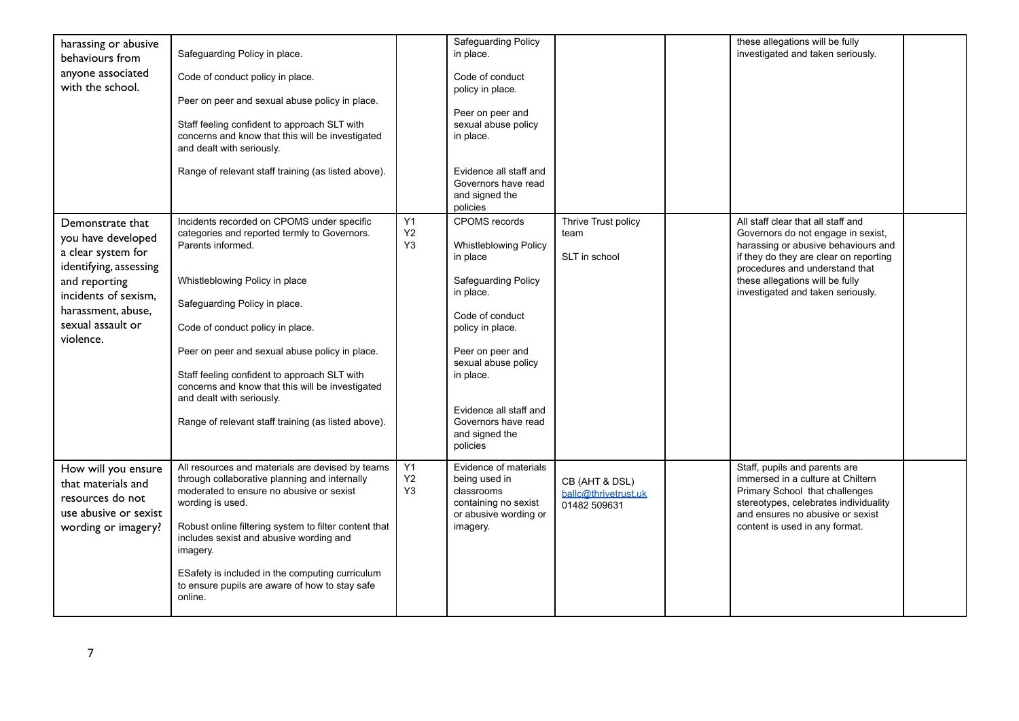| harassing or abusive<br>behaviours from<br>anyone associated<br>with the school.                                                                                                        | Safeguarding Policy in place.<br>Code of conduct policy in place.<br>Peer on peer and sexual abuse policy in place.<br>Staff feeling confident to approach SLT with<br>concerns and know that this will be investigated<br>and dealt with seriously.<br>Range of relevant staff training (as listed above).                                                                                                                                                      |                | Safeguarding Policy<br>in place.<br>Code of conduct<br>policy in place.<br>Peer on peer and<br>sexual abuse policy<br>in place.<br>Evidence all staff and<br>Governors have read<br>and signed the<br>policies                                                                     |                                                        | these allegations will be fully<br>investigated and taken seriously.                                                                                                                                                                                                |  |
|-----------------------------------------------------------------------------------------------------------------------------------------------------------------------------------------|------------------------------------------------------------------------------------------------------------------------------------------------------------------------------------------------------------------------------------------------------------------------------------------------------------------------------------------------------------------------------------------------------------------------------------------------------------------|----------------|------------------------------------------------------------------------------------------------------------------------------------------------------------------------------------------------------------------------------------------------------------------------------------|--------------------------------------------------------|---------------------------------------------------------------------------------------------------------------------------------------------------------------------------------------------------------------------------------------------------------------------|--|
| Demonstrate that<br>you have developed<br>a clear system for<br>identifying, assessing<br>and reporting<br>incidents of sexism,<br>harassment, abuse,<br>sexual assault or<br>violence. | Incidents recorded on CPOMS under specific<br>categories and reported termly to Governors.<br>Parents informed.<br>Whistleblowing Policy in place<br>Safequarding Policy in place.<br>Code of conduct policy in place.<br>Peer on peer and sexual abuse policy in place.<br>Staff feeling confident to approach SLT with<br>concerns and know that this will be investigated<br>and dealt with seriously.<br>Range of relevant staff training (as listed above). | Y1<br>Y2<br>Y3 | <b>CPOMS</b> records<br><b>Whistleblowing Policy</b><br>in place<br>Safeguarding Policy<br>in place.<br>Code of conduct<br>policy in place.<br>Peer on peer and<br>sexual abuse policy<br>in place.<br>Evidence all staff and<br>Governors have read<br>and signed the<br>policies | Thrive Trust policy<br>team<br>SLT in school           | All staff clear that all staff and<br>Governors do not engage in sexist,<br>harassing or abusive behaviours and<br>if they do they are clear on reporting<br>procedures and understand that<br>these allegations will be fully<br>investigated and taken seriously. |  |
| How will you ensure<br>that materials and<br>resources do not<br>use abusive or sexist<br>wording or imagery?                                                                           | All resources and materials are devised by teams<br>through collaborative planning and internally<br>moderated to ensure no abusive or sexist<br>wording is used.<br>Robust online filtering system to filter content that<br>includes sexist and abusive wording and<br>imagery.<br>ESafety is included in the computing curriculum<br>to ensure pupils are aware of how to stay safe<br>online.                                                                | Y1<br>Y2<br>Y3 | Evidence of materials<br>being used in<br>classrooms<br>containing no sexist<br>or abusive wording or<br>imagery.                                                                                                                                                                  | CB (AHT & DSL)<br>ballc@thrivetrust.uk<br>01482 509631 | Staff, pupils and parents are<br>immersed in a culture at Chiltern<br>Primary School that challenges<br>stereotypes, celebrates individuality<br>and ensures no abusive or sexist<br>content is used in any format.                                                 |  |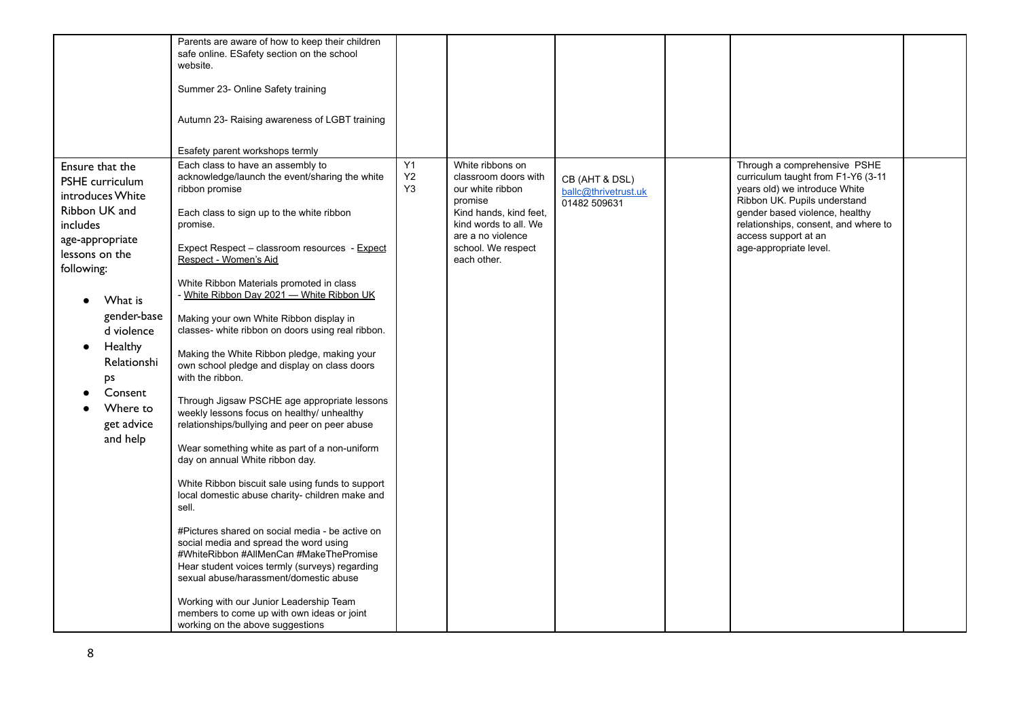|                                                                                                                                                                                                                                                                               | Parents are aware of how to keep their children<br>safe online. ESafety section on the school<br>website.<br>Summer 23- Online Safety training<br>Autumn 23- Raising awareness of LGBT training<br>Esafety parent workshops termly                                                                                                                                                                                                                                                                                                                                                                                                                                                                                                                                                                                                                                                                                                                                                                                                                                                                                                                                                                                                                                       |                            |                                                                                                                                                                                      |                                                        |                                                                                                                                                                                                                                                                 |  |
|-------------------------------------------------------------------------------------------------------------------------------------------------------------------------------------------------------------------------------------------------------------------------------|--------------------------------------------------------------------------------------------------------------------------------------------------------------------------------------------------------------------------------------------------------------------------------------------------------------------------------------------------------------------------------------------------------------------------------------------------------------------------------------------------------------------------------------------------------------------------------------------------------------------------------------------------------------------------------------------------------------------------------------------------------------------------------------------------------------------------------------------------------------------------------------------------------------------------------------------------------------------------------------------------------------------------------------------------------------------------------------------------------------------------------------------------------------------------------------------------------------------------------------------------------------------------|----------------------------|--------------------------------------------------------------------------------------------------------------------------------------------------------------------------------------|--------------------------------------------------------|-----------------------------------------------------------------------------------------------------------------------------------------------------------------------------------------------------------------------------------------------------------------|--|
| Ensure that the<br><b>PSHE</b> curriculum<br>introduces White<br>Ribbon UK and<br><i>includes</i><br>age-appropriate<br>lessons on the<br>following:<br>What is<br>gender-base<br>d violence<br>Healthy<br>Relationshi<br>ps<br>Consent<br>Where to<br>get advice<br>and help | Each class to have an assembly to<br>acknowledge/launch the event/sharing the white<br>ribbon promise<br>Each class to sign up to the white ribbon<br>promise.<br>Expect Respect - classroom resources - Expect<br>Respect - Women's Aid<br>White Ribbon Materials promoted in class<br>- White Ribbon Day 2021 - White Ribbon UK<br>Making your own White Ribbon display in<br>classes- white ribbon on doors using real ribbon.<br>Making the White Ribbon pledge, making your<br>own school pledge and display on class doors<br>with the ribbon.<br>Through Jigsaw PSCHE age appropriate lessons<br>weekly lessons focus on healthy/ unhealthy<br>relationships/bullying and peer on peer abuse<br>Wear something white as part of a non-uniform<br>day on annual White ribbon day.<br>White Ribbon biscuit sale using funds to support<br>local domestic abuse charity- children make and<br>sell.<br>#Pictures shared on social media - be active on<br>social media and spread the word using<br>#WhiteRibbon #AllMenCan #MakeThePromise<br>Hear student voices termly (surveys) regarding<br>sexual abuse/harassment/domestic abuse<br>Working with our Junior Leadership Team<br>members to come up with own ideas or joint<br>working on the above suggestions | Y1<br>Y2<br>Y <sub>3</sub> | White ribbons on<br>classroom doors with<br>our white ribbon<br>promise<br>Kind hands, kind feet,<br>kind words to all. We<br>are a no violence<br>school. We respect<br>each other. | CB (AHT & DSL)<br>ballc@thrivetrust.uk<br>01482 509631 | Through a comprehensive PSHE<br>curriculum taught from F1-Y6 (3-11<br>years old) we introduce White<br>Ribbon UK. Pupils understand<br>gender based violence, healthy<br>relationships, consent, and where to<br>access support at an<br>age-appropriate level. |  |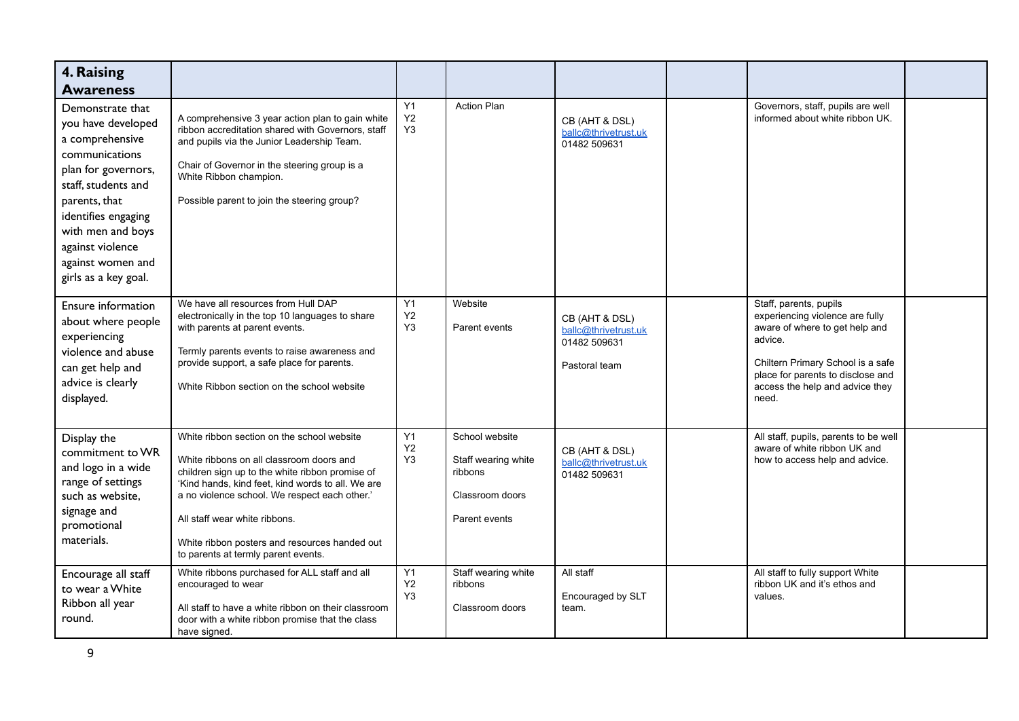| 4. Raising<br><b>Awareness</b>                                                                                                                                                                                                                          |                                                                                                                                                                                                                                                                                                                                                                          |                            |                                                                                      |                                                                         |                                                                                                                                                                                                                              |  |
|---------------------------------------------------------------------------------------------------------------------------------------------------------------------------------------------------------------------------------------------------------|--------------------------------------------------------------------------------------------------------------------------------------------------------------------------------------------------------------------------------------------------------------------------------------------------------------------------------------------------------------------------|----------------------------|--------------------------------------------------------------------------------------|-------------------------------------------------------------------------|------------------------------------------------------------------------------------------------------------------------------------------------------------------------------------------------------------------------------|--|
| Demonstrate that<br>you have developed<br>a comprehensive<br>communications<br>plan for governors,<br>staff, students and<br>parents, that<br>identifies engaging<br>with men and boys<br>against violence<br>against women and<br>girls as a key goal. | A comprehensive 3 year action plan to gain white<br>ribbon accreditation shared with Governors, staff<br>and pupils via the Junior Leadership Team.<br>Chair of Governor in the steering group is a<br>White Ribbon champion.<br>Possible parent to join the steering group?                                                                                             | Y1<br>Y2<br>Y <sub>3</sub> | <b>Action Plan</b>                                                                   | CB (AHT & DSL)<br>ballc@thrivetrust.uk<br>01482 509631                  | Governors, staff, pupils are well<br>informed about white ribbon UK.                                                                                                                                                         |  |
| Ensure information<br>about where people<br>experiencing<br>violence and abuse<br>can get help and<br>advice is clearly<br>displayed.                                                                                                                   | We have all resources from Hull DAP<br>electronically in the top 10 languages to share<br>with parents at parent events.<br>Termly parents events to raise awareness and<br>provide support, a safe place for parents.<br>White Ribbon section on the school website                                                                                                     | Y1<br>Y2<br>Y <sub>3</sub> | Website<br>Parent events                                                             | CB (AHT & DSL)<br>ballc@thrivetrust.uk<br>01482 509631<br>Pastoral team | Staff, parents, pupils<br>experiencing violence are fully<br>aware of where to get help and<br>advice.<br>Chiltern Primary School is a safe<br>place for parents to disclose and<br>access the help and advice they<br>need. |  |
| Display the<br>commitment to WR<br>and logo in a wide<br>range of settings<br>such as website,<br>signage and<br>promotional<br>materials.                                                                                                              | White ribbon section on the school website<br>White ribbons on all classroom doors and<br>children sign up to the white ribbon promise of<br>'Kind hands, kind feet, kind words to all. We are<br>a no violence school. We respect each other.'<br>All staff wear white ribbons.<br>White ribbon posters and resources handed out<br>to parents at termly parent events. | Y1<br><b>Y2</b><br>Y3      | School website<br>Staff wearing white<br>ribbons<br>Classroom doors<br>Parent events | CB (AHT & DSL)<br>ballc@thrivetrust.uk<br>01482 509631                  | All staff, pupils, parents to be well<br>aware of white ribbon UK and<br>how to access help and advice.                                                                                                                      |  |
| Encourage all staff<br>to wear a White<br>Ribbon all year<br>round.                                                                                                                                                                                     | White ribbons purchased for ALL staff and all<br>encouraged to wear<br>All staff to have a white ribbon on their classroom<br>door with a white ribbon promise that the class<br>have signed.                                                                                                                                                                            | Y1<br>Y2<br>Y3             | Staff wearing white<br>ribbons<br>Classroom doors                                    | All staff<br>Encouraged by SLT<br>team.                                 | All staff to fully support White<br>ribbon UK and it's ethos and<br>values.                                                                                                                                                  |  |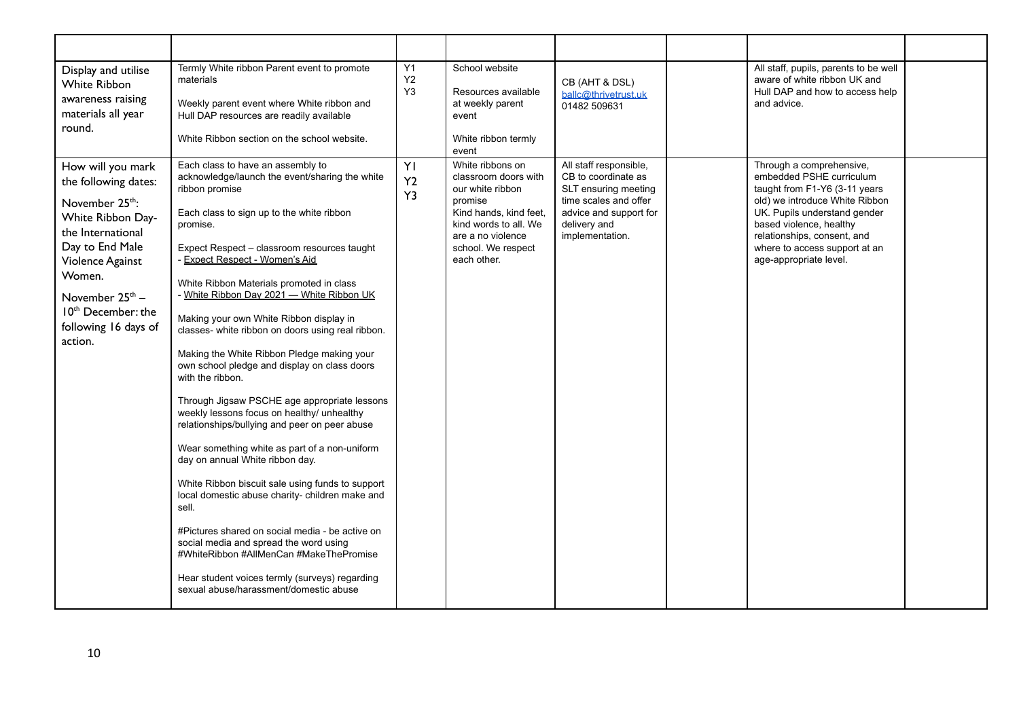| Display and utilise<br><b>White Ribbon</b><br>awareness raising<br>materials all year<br>round.                                                                                                                                                                         | Termly White ribbon Parent event to promote<br>materials<br>Weekly parent event where White ribbon and<br>Hull DAP resources are readily available<br>White Ribbon section on the school website.                                                                                                                                                                                                                                                                                                                                                                                                                                                                                                                                                                                                                                                                                                                                                                                                                                                                                                                                                 | Y1<br>Y2<br>Y <sub>3</sub> | School website<br>Resources available<br>at weekly parent<br>event<br>White ribbon termly<br>event                                                                                   | CB (AHT & DSL)<br>ballc@thrivetrust.uk<br>01482 509631                                                                                                      | All staff, pupils, parents to be well<br>aware of white ribbon UK and<br>Hull DAP and how to access help<br>and advice.                                                                                                                                                      |  |
|-------------------------------------------------------------------------------------------------------------------------------------------------------------------------------------------------------------------------------------------------------------------------|---------------------------------------------------------------------------------------------------------------------------------------------------------------------------------------------------------------------------------------------------------------------------------------------------------------------------------------------------------------------------------------------------------------------------------------------------------------------------------------------------------------------------------------------------------------------------------------------------------------------------------------------------------------------------------------------------------------------------------------------------------------------------------------------------------------------------------------------------------------------------------------------------------------------------------------------------------------------------------------------------------------------------------------------------------------------------------------------------------------------------------------------------|----------------------------|--------------------------------------------------------------------------------------------------------------------------------------------------------------------------------------|-------------------------------------------------------------------------------------------------------------------------------------------------------------|------------------------------------------------------------------------------------------------------------------------------------------------------------------------------------------------------------------------------------------------------------------------------|--|
| How will you mark<br>the following dates:<br>November 25 <sup>th</sup> :<br>White Ribbon Day-<br>the International<br>Day to End Male<br>Violence Against<br>Women.<br>November 25 <sup>th</sup> -<br>10 <sup>th</sup> December: the<br>following 16 days of<br>action. | Each class to have an assembly to<br>acknowledge/launch the event/sharing the white<br>ribbon promise<br>Each class to sign up to the white ribbon<br>promise.<br>Expect Respect - classroom resources taught<br>- Expect Respect - Women's Aid<br>White Ribbon Materials promoted in class<br>- White Ribbon Day 2021 - White Ribbon UK<br>Making your own White Ribbon display in<br>classes- white ribbon on doors using real ribbon.<br>Making the White Ribbon Pledge making your<br>own school pledge and display on class doors<br>with the ribbon.<br>Through Jigsaw PSCHE age appropriate lessons<br>weekly lessons focus on healthy/ unhealthy<br>relationships/bullying and peer on peer abuse<br>Wear something white as part of a non-uniform<br>day on annual White ribbon day.<br>White Ribbon biscuit sale using funds to support<br>local domestic abuse charity- children make and<br>sell.<br>#Pictures shared on social media - be active on<br>social media and spread the word using<br>#WhiteRibbon #AllMenCan #MakeThePromise<br>Hear student voices termly (surveys) regarding<br>sexual abuse/harassment/domestic abuse | YI<br>Y2<br>Y3             | White ribbons on<br>classroom doors with<br>our white ribbon<br>promise<br>Kind hands, kind feet,<br>kind words to all. We<br>are a no violence<br>school. We respect<br>each other. | All staff responsible,<br>CB to coordinate as<br>SLT ensuring meeting<br>time scales and offer<br>advice and support for<br>delivery and<br>implementation. | Through a comprehensive,<br>embedded PSHE curriculum<br>taught from F1-Y6 (3-11 years<br>old) we introduce White Ribbon<br>UK. Pupils understand gender<br>based violence, healthy<br>relationships, consent, and<br>where to access support at an<br>age-appropriate level. |  |